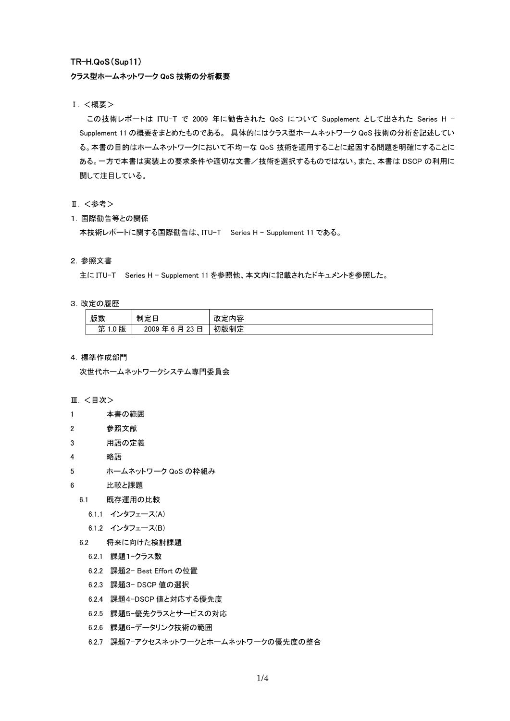# TR-H.QoS(Sup11)

# クラス型ホームネットワーク QoS 技術の分析概要

# Ⅰ. <概要>

この技術レポートは ITU-T で 2009 年に勧告された QoS について Supplement として出された Series H - Supplement 11 の概要をまとめたものである。 具体的にはクラス型ホームネットワーク QoS 技術の分析を記述してい る。本書の目的はホームネットワークにおいて不均一な QoS 技術を適用することに起因する問題を明確にすることに ある。一方で本書は実装上の要求条件や適切な文書/技術を選択するものではない。また、本書は DSCP の利用に 関して注目している。

- Ⅱ. <参考>
- 1. 国際勧告等との関係

本技術レポートに関する国際勧告は、ITU-T Series H - Supplement 11 である。

# 2. 参照文書

主に ITU-T Series H - Supplement 11 を参照他、本文内に記載されたドキュメントを参照した。

### 3.改定の履歴

| 版数                       | 生产一<br>⊢<br>制定日                                        | 内容<br>改,<br>ヾ疋ェ |
|--------------------------|--------------------------------------------------------|-----------------|
| 版<br>第<br>$\sim$<br>ں. ا | 月<br>中<br>2009<br>າາ<br><b>G</b><br>年<br>ں ے<br>н<br>v | 初版制定            |

#### 4. 標準作成部門

次世代ホームネットワークシステム専門委員会

# Ⅲ. <目次>

- 1 本書の範囲
- 2 参照文献
- 3 用語の定義
- 4 略語
- 5 ホームネットワーク QoS の枠組み
- 6 比較と課題
	- 6.1 既存運用の比較
		- 6.1.1 インタフェース(A)
		- 6.1.2 インタフェース(B)
	- 6.2 将来に向けた検討課題
		- 6.2.1 課題1-クラス数
		- 6.2.2 課題2- Best Effort の位置
		- 6.2.3 課題3- DSCP 値の選択
		- 6.2.4 課題4-DSCP 値と対応する優先度
		- 6.2.5 課題5-優先クラスとサービスの対応
		- 6.2.6 課題6-データリンク技術の範囲
		- 6.2.7 課題7-アクセスネットワークとホームネットワークの優先度の整合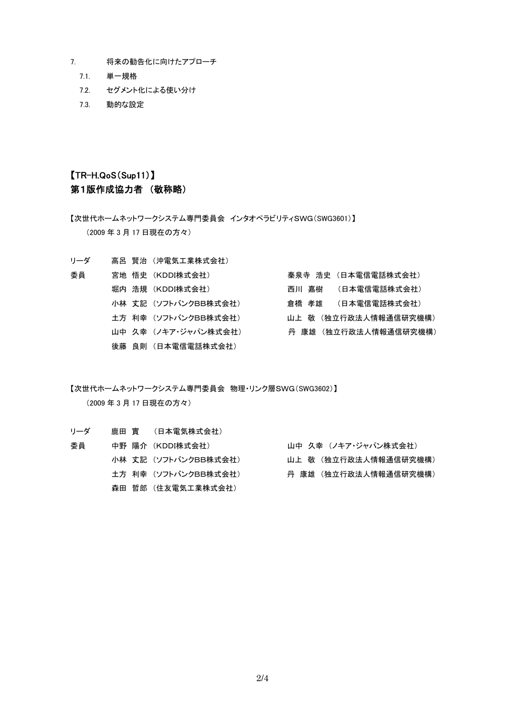- 7. 将来の勧告化に向けたアプローチ
	- 7.1. 単一規格
	- 7.2. セグメント化による使い分け
	- 7.3. 動的な設定

# 【TR-H.QoS(Sup11)】 第1版作成協力者 (敬称略)

【次世代ホームネットワークシステム専門委員会 インタオペラビリティSWG(SWG3601)】 (2009 年 3 月 17 日現在の方々)

リーダ 高呂 賢治 (沖電気工業株式会社)

| 委員 | 宮地 悟史 (KDDI株式会社)     | 秦泉寺 浩史 (日本雷信雷話株式会社)   |
|----|----------------------|-----------------------|
|    | 堀内 浩規 (KDDI株式会社)     | 西川 嘉樹 (日本雷信雷話株式会社)    |
|    | 小林 丈記 (ソフトバンクBB株式会社) | 倉橋 孝雄 (日本電信電話株式会社)    |
|    | 土方 利幸 (ソフトバンクBB株式会社) | 山上 敬 (独立行政法人情報通信研究機構) |
|    | 山中 久幸 (ノキア・ジャパン株式会社) | 丹 康雄 (独立行政法人情報通信研究機構) |
|    | 後藤 良則 (日本電信電話株式会社)   |                       |

【次世代ホームネットワークシステム専門委員会 物理・リンク層SWG(SWG3602)】 (2009 年 3 月 17 日現在の方々)

| リーダ |  | 鹿田 實 (日本電気株式会社)      |  |                       |
|-----|--|----------------------|--|-----------------------|
| 委員  |  | 中野 陽介 (KDDI株式会社)     |  | 山中 久幸 (ノキア・ジャパン株式会社)  |
|     |  | 小林 丈記 (ソフトバンクBB株式会社) |  | 山上 敬 (独立行政法人情報通信研究機構) |
|     |  | 土方 利幸 (ソフトバンクBB株式会社) |  | 丹 康雄 (独立行政法人情報通信研究機構) |
|     |  | 森田 哲郎 (住友電気工業株式会社)   |  |                       |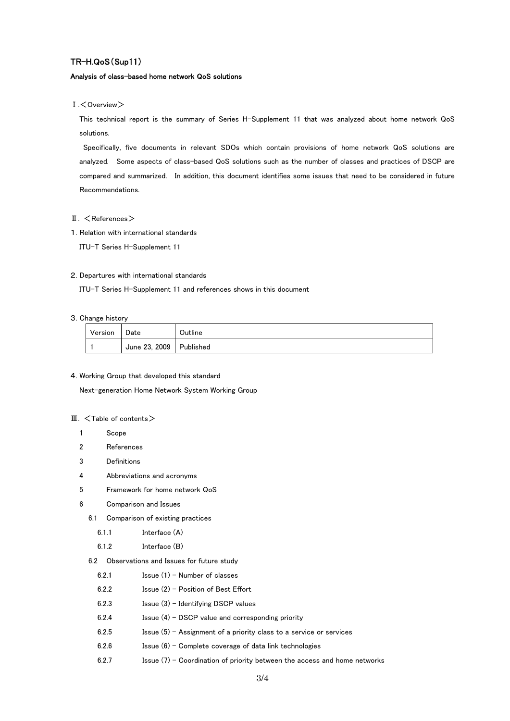# TR-H.QoS(Sup11)

### Analysis of class-based home network QoS solutions

Ⅰ.<Overview>

This technical report is the summary of Series H-Supplement 11 that was analyzed about home network QoS solutions.

 Specifically, five documents in relevant SDOs which contain provisions of home network QoS solutions are analyzed. Some aspects of class-based QoS solutions such as the number of classes and practices of DSCP are compared and summarized. In addition, this document identifies some issues that need to be considered in future Recommendations.

### II. <References>

1. Relation with international standards

ITU-T Series H-Supplement 11

### 2. Departures with international standards

ITU-T Series H-Supplement 11 and references shows in this document

### 3. Change history

| Version | Date                    | Outline |
|---------|-------------------------|---------|
|         | June 23, 2009 Published |         |

### 4. Working Group that developed this standard

Next-generation Home Network System Working Group

# $\Pi$ .  $\leq$  Table of contents  $\geq$

- 1 Scope
- 2 References
- 3 Definitions
- 4 Abbreviations and acronyms
- 5 Framework for home network QoS
- 6 Comparison and Issues
	- 6.1 Comparison of existing practices
		- 6.1.1 Interface (A)
		- 6.1.2 Interface (B)
	- 6.2 Observations and Issues for future study
		- 6.2.1 Issue (1) Number of classes
		- 6.2.2 Issue (2) Position of Best Effort
		- $6.2.3$  Issue  $(3)$  Identifying DSCP values
		- 6.2.4 Issue (4) DSCP value and corresponding priority
		- 6.2.5 Issue (5) Assignment of a priority class to a service or services
		- $6.2.6$  Issue  $(6)$  Complete coverage of data link technologies
		- 6.2.7 Issue  $(7)$  Coordination of priority between the access and home networks